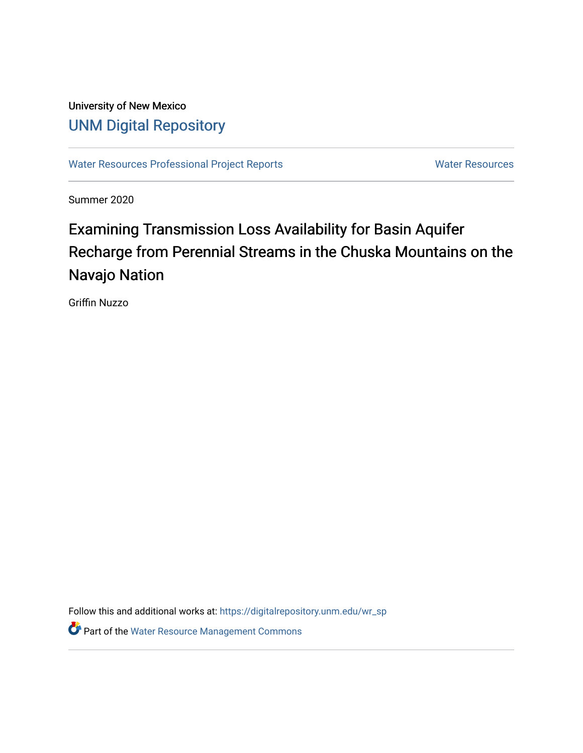# University of New Mexico [UNM Digital Repository](https://digitalrepository.unm.edu/)

[Water Resources Professional Project Reports](https://digitalrepository.unm.edu/wr_sp) **Water Resources** Water Resources

Summer 2020

# Examining Transmission Loss Availability for Basin Aquifer Recharge from Perennial Streams in the Chuska Mountains on the Navajo Nation

Griffin Nuzzo

Follow this and additional works at: [https://digitalrepository.unm.edu/wr\\_sp](https://digitalrepository.unm.edu/wr_sp?utm_source=digitalrepository.unm.edu%2Fwr_sp%2F189&utm_medium=PDF&utm_campaign=PDFCoverPages)

**Part of the [Water Resource Management Commons](https://network.bepress.com/hgg/discipline/1057?utm_source=digitalrepository.unm.edu%2Fwr_sp%2F189&utm_medium=PDF&utm_campaign=PDFCoverPages)**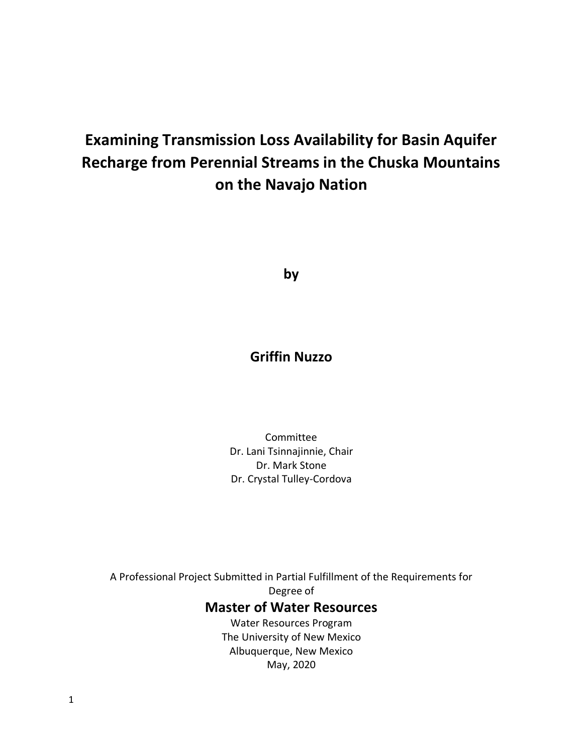# **Examining Transmission Loss Availability for Basin Aquifer Recharge from Perennial Streams in the Chuska Mountains on the Navajo Nation**

**by**

# **Griffin Nuzzo**

Committee Dr. Lani Tsinnajinnie, Chair Dr. Mark Stone Dr. Crystal Tulley-Cordova

A Professional Project Submitted in Partial Fulfillment of the Requirements for Degree of **Master of Water Resources** Water Resources Program The University of New Mexico

Albuquerque, New Mexico May, 2020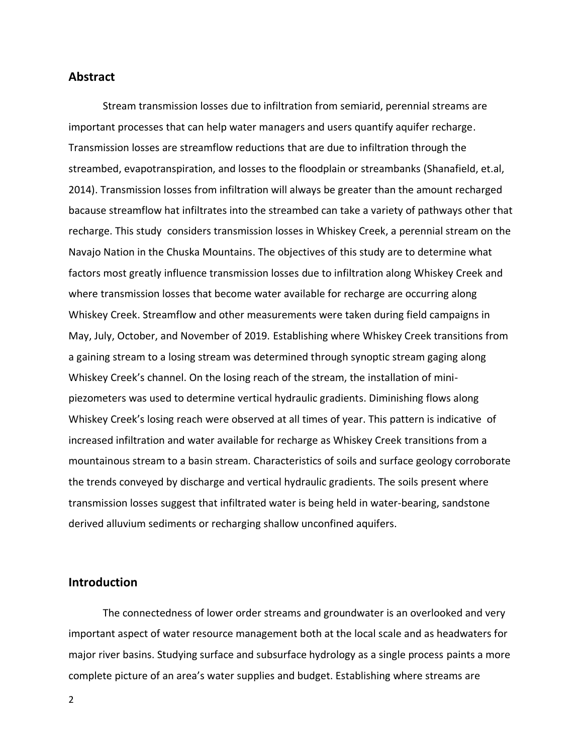#### **Abstract**

Stream transmission losses due to infiltration from semiarid, perennial streams are important processes that can help water managers and users quantify aquifer recharge. Transmission losses are streamflow reductions that are due to infiltration through the streambed, evapotranspiration, and losses to the floodplain or streambanks (Shanafield, et.al, 2014). Transmission losses from infiltration will always be greater than the amount recharged bacause streamflow hat infiltrates into the streambed can take a variety of pathways other that recharge. This study considers transmission losses in Whiskey Creek, a perennial stream on the Navajo Nation in the Chuska Mountains. The objectives of this study are to determine what factors most greatly influence transmission losses due to infiltration along Whiskey Creek and where transmission losses that become water available for recharge are occurring along Whiskey Creek. Streamflow and other measurements were taken during field campaigns in May, July, October, and November of 2019. Establishing where Whiskey Creek transitions from a gaining stream to a losing stream was determined through synoptic stream gaging along Whiskey Creek's channel. On the losing reach of the stream, the installation of minipiezometers was used to determine vertical hydraulic gradients. Diminishing flows along Whiskey Creek's losing reach were observed at all times of year. This pattern is indicative of increased infiltration and water available for recharge as Whiskey Creek transitions from a mountainous stream to a basin stream. Characteristics of soils and surface geology corroborate the trends conveyed by discharge and vertical hydraulic gradients. The soils present where transmission losses suggest that infiltrated water is being held in water-bearing, sandstone derived alluvium sediments or recharging shallow unconfined aquifers.

### **Introduction**

The connectedness of lower order streams and groundwater is an overlooked and very important aspect of water resource management both at the local scale and as headwaters for major river basins. Studying surface and subsurface hydrology as a single process paints a more complete picture of an area's water supplies and budget. Establishing where streams are

2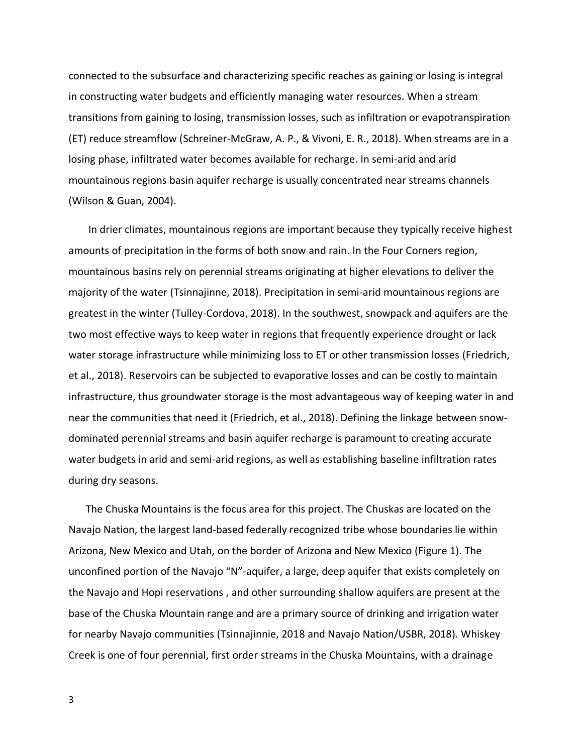connected to the subsurface and characterizing specific reaches as gaining or losing is integral in constructing water budgets and efficiently managing water resources. When a stream transitions from gaining to losing, transmission losses, such as infiltration or evapotranspiration (ET) reduce streamflow (Schreiner-McGraw, A. P., & Vivoni, E. R., 2018). When streams are in a losing phase, infiltrated water becomes available for recharge. In semi-arid and arid mountainous regions basin aquifer recharge is usually concentrated near streams channels (Wilson & Guan, 2004).

In drier climates, mountainous regions are important because they typically receive highest amounts of precipitation in the forms of both snow and rain. In the Four Corners region, mountainous basins rely on perennial streams originating at higher elevations to deliver the majority of the water (Tsinnajinne, 2018). Precipitation in semi-arid mountainous regions are greatest in the winter (Tulley-Cordova, 2018). In the southwest, snowpack and aquifers are the two most effective ways to keep water in regions that frequently experience drought or lack water storage infrastructure while minimizing loss to ET or other transmission losses (Friedrich, et al., 2018). Reservoirs can be subjected to evaporative losses and can be costly to maintain infrastructure, thus groundwater storage is the most advantageous way of keeping water in and near the communities that need it (Friedrich, et al., 2018). Defining the linkage between snowdominated perennial streams and basin aquifer recharge is paramount to creating accurate water budgets in arid and semi-arid regions, as well as establishing baseline infiltration rates during dry seasons.

The Chuska Mountains is the focus area for this project. The Chuskas are located on the Navajo Nation, the largest land-based federally recognized tribe whose boundaries lie within Arizona, New Mexico and Utah, on the border of Arizona and New Mexico (Figure 1). The unconfined portion of the Navajo "N"-aquifer, a large, deep aquifer that exists completely on the Navajo and Hopi reservations , and other surrounding shallow aquifers are present at the base of the Chuska Mountain range and are a primary source of drinking and irrigation water for nearby Navajo communities (Tsinnajinnie, 2018 and Navajo Nation/USBR, 2018). Whiskey Creek is one of four perennial, first order streams in the Chuska Mountains, with a drainage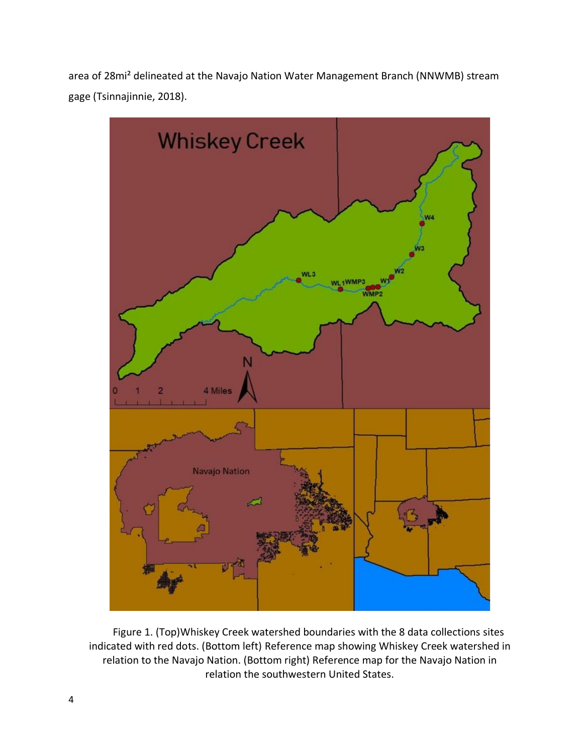area of 28mi² delineated at the Navajo Nation Water Management Branch (NNWMB) stream gage (Tsinnajinnie, 2018).



Figure 1. (Top)Whiskey Creek watershed boundaries with the 8 data collections sites indicated with red dots. (Bottom left) Reference map showing Whiskey Creek watershed in relation to the Navajo Nation. (Bottom right) Reference map for the Navajo Nation in relation the southwestern United States.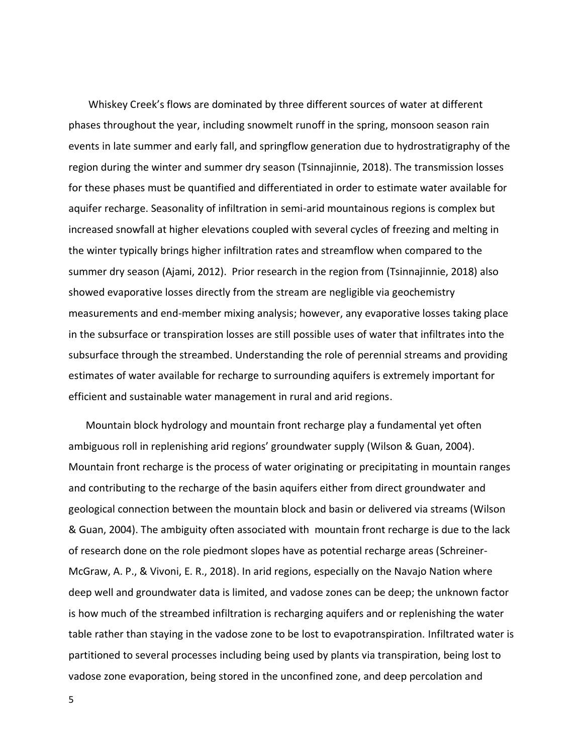Whiskey Creek's flows are dominated by three different sources of water at different phases throughout the year, including snowmelt runoff in the spring, monsoon season rain events in late summer and early fall, and springflow generation due to hydrostratigraphy of the region during the winter and summer dry season (Tsinnajinnie, 2018). The transmission losses for these phases must be quantified and differentiated in order to estimate water available for aquifer recharge. Seasonality of infiltration in semi-arid mountainous regions is complex but increased snowfall at higher elevations coupled with several cycles of freezing and melting in the winter typically brings higher infiltration rates and streamflow when compared to the summer dry season (Ajami, 2012). Prior research in the region from (Tsinnajinnie, 2018) also showed evaporative losses directly from the stream are negligible via geochemistry measurements and end-member mixing analysis; however, any evaporative losses taking place in the subsurface or transpiration losses are still possible uses of water that infiltrates into the subsurface through the streambed. Understanding the role of perennial streams and providing estimates of water available for recharge to surrounding aquifers is extremely important for efficient and sustainable water management in rural and arid regions.

Mountain block hydrology and mountain front recharge play a fundamental yet often ambiguous roll in replenishing arid regions' groundwater supply (Wilson & Guan, 2004). Mountain front recharge is the process of water originating or precipitating in mountain ranges and contributing to the recharge of the basin aquifers either from direct groundwater and geological connection between the mountain block and basin or delivered via streams (Wilson & Guan, 2004). The ambiguity often associated with mountain front recharge is due to the lack of research done on the role piedmont slopes have as potential recharge areas (Schreiner-McGraw, A. P., & Vivoni, E. R., 2018). In arid regions, especially on the Navajo Nation where deep well and groundwater data is limited, and vadose zones can be deep; the unknown factor is how much of the streambed infiltration is recharging aquifers and or replenishing the water table rather than staying in the vadose zone to be lost to evapotranspiration. Infiltrated water is partitioned to several processes including being used by plants via transpiration, being lost to vadose zone evaporation, being stored in the unconfined zone, and deep percolation and

5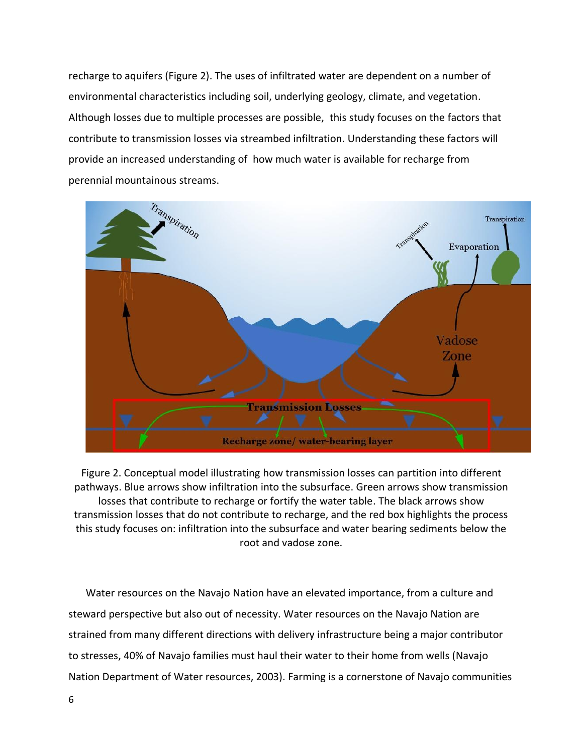recharge to aquifers (Figure 2). The uses of infiltrated water are dependent on a number of environmental characteristics including soil, underlying geology, climate, and vegetation. Although losses due to multiple processes are possible, this study focuses on the factors that contribute to transmission losses via streambed infiltration. Understanding these factors will provide an increased understanding of how much water is available for recharge from perennial mountainous streams.



Figure 2. Conceptual model illustrating how transmission losses can partition into different pathways. Blue arrows show infiltration into the subsurface. Green arrows show transmission losses that contribute to recharge or fortify the water table. The black arrows show transmission losses that do not contribute to recharge, and the red box highlights the process this study focuses on: infiltration into the subsurface and water bearing sediments below the root and vadose zone.

Water resources on the Navajo Nation have an elevated importance, from a culture and steward perspective but also out of necessity. Water resources on the Navajo Nation are strained from many different directions with delivery infrastructure being a major contributor to stresses, 40% of Navajo families must haul their water to their home from wells (Navajo Nation Department of Water resources, 2003). Farming is a cornerstone of Navajo communities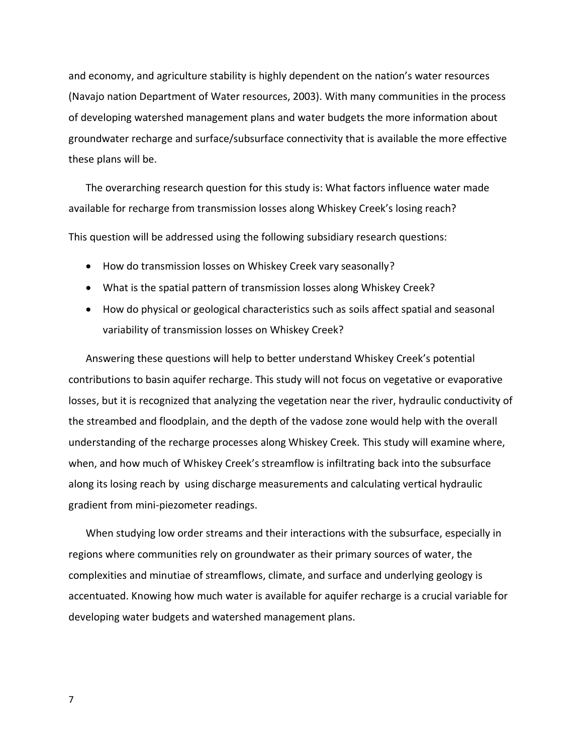and economy, and agriculture stability is highly dependent on the nation's water resources (Navajo nation Department of Water resources, 2003). With many communities in the process of developing watershed management plans and water budgets the more information about groundwater recharge and surface/subsurface connectivity that is available the more effective these plans will be.

The overarching research question for this study is: What factors influence water made available for recharge from transmission losses along Whiskey Creek's losing reach? This question will be addressed using the following subsidiary research questions:

- How do transmission losses on Whiskey Creek vary seasonally?
- What is the spatial pattern of transmission losses along Whiskey Creek?
- How do physical or geological characteristics such as soils affect spatial and seasonal variability of transmission losses on Whiskey Creek?

Answering these questions will help to better understand Whiskey Creek's potential contributions to basin aquifer recharge. This study will not focus on vegetative or evaporative losses, but it is recognized that analyzing the vegetation near the river, hydraulic conductivity of the streambed and floodplain, and the depth of the vadose zone would help with the overall understanding of the recharge processes along Whiskey Creek. This study will examine where, when, and how much of Whiskey Creek's streamflow is infiltrating back into the subsurface along its losing reach by using discharge measurements and calculating vertical hydraulic gradient from mini-piezometer readings.

When studying low order streams and their interactions with the subsurface, especially in regions where communities rely on groundwater as their primary sources of water, the complexities and minutiae of streamflows, climate, and surface and underlying geology is accentuated. Knowing how much water is available for aquifer recharge is a crucial variable for developing water budgets and watershed management plans.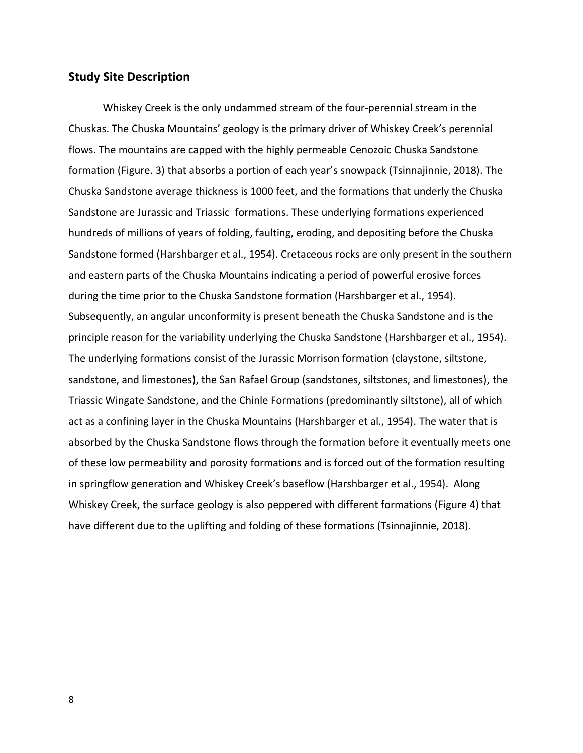### **Study Site Description**

Whiskey Creek is the only undammed stream of the four-perennial stream in the Chuskas. The Chuska Mountains' geology is the primary driver of Whiskey Creek's perennial flows. The mountains are capped with the highly permeable Cenozoic Chuska Sandstone formation (Figure. 3) that absorbs a portion of each year's snowpack (Tsinnajinnie, 2018). The Chuska Sandstone average thickness is 1000 feet, and the formations that underly the Chuska Sandstone are Jurassic and Triassic formations. These underlying formations experienced hundreds of millions of years of folding, faulting, eroding, and depositing before the Chuska Sandstone formed (Harshbarger et al., 1954). Cretaceous rocks are only present in the southern and eastern parts of the Chuska Mountains indicating a period of powerful erosive forces during the time prior to the Chuska Sandstone formation (Harshbarger et al., 1954). Subsequently, an angular unconformity is present beneath the Chuska Sandstone and is the principle reason for the variability underlying the Chuska Sandstone (Harshbarger et al., 1954). The underlying formations consist of the Jurassic Morrison formation (claystone, siltstone, sandstone, and limestones), the San Rafael Group (sandstones, siltstones, and limestones), the Triassic Wingate Sandstone, and the Chinle Formations (predominantly siltstone), all of which act as a confining layer in the Chuska Mountains (Harshbarger et al., 1954). The water that is absorbed by the Chuska Sandstone flows through the formation before it eventually meets one of these low permeability and porosity formations and is forced out of the formation resulting in springflow generation and Whiskey Creek's baseflow (Harshbarger et al., 1954). Along Whiskey Creek, the surface geology is also peppered with different formations (Figure 4) that have different due to the uplifting and folding of these formations (Tsinnajinnie, 2018).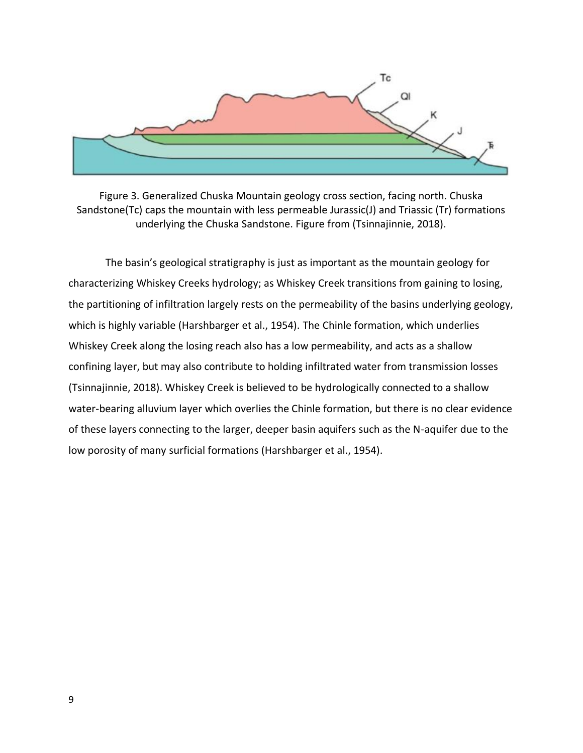

Figure 3. Generalized Chuska Mountain geology cross section, facing north. Chuska Sandstone(Tc) caps the mountain with less permeable Jurassic(J) and Triassic (Tr) formations underlying the Chuska Sandstone. Figure from (Tsinnajinnie, 2018).

The basin's geological stratigraphy is just as important as the mountain geology for characterizing Whiskey Creeks hydrology; as Whiskey Creek transitions from gaining to losing, the partitioning of infiltration largely rests on the permeability of the basins underlying geology, which is highly variable (Harshbarger et al., 1954). The Chinle formation, which underlies Whiskey Creek along the losing reach also has a low permeability, and acts as a shallow confining layer, but may also contribute to holding infiltrated water from transmission losses (Tsinnajinnie, 2018). Whiskey Creek is believed to be hydrologically connected to a shallow water-bearing alluvium layer which overlies the Chinle formation, but there is no clear evidence of these layers connecting to the larger, deeper basin aquifers such as the N-aquifer due to the low porosity of many surficial formations (Harshbarger et al., 1954).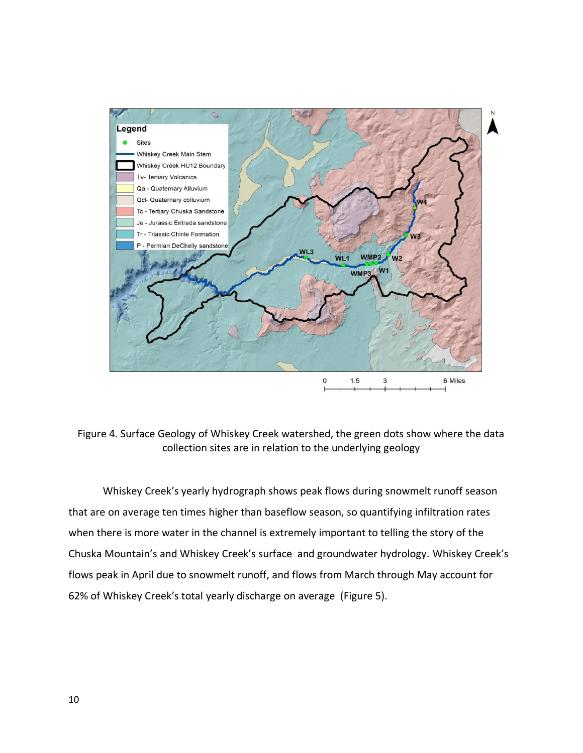

Figure 4. Surface Geology of Whiskey Creek watershed, the green dots show where the data collection sites are in relation to the underlying geology

Whiskey Creek's yearly hydrograph shows peak flows during snowmelt runoff season that are on average ten times higher than baseflow season, so quantifying infiltration rates when there is more water in the channel is extremely important to telling the story of the Chuska Mountain's and Whiskey Creek's surface and groundwater hydrology. Whiskey Creek's flows peak in April due to snowmelt runoff, and flows from March through May account for 62% of Whiskey Creek's total yearly discharge on average (Figure 5).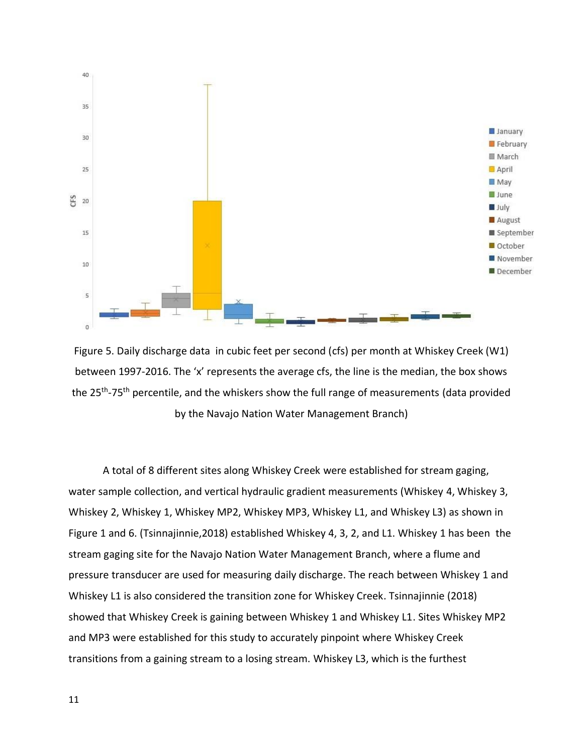

Figure 5. Daily discharge data in cubic feet per second (cfs) per month at Whiskey Creek (W1) between 1997-2016. The 'x' represents the average cfs, the line is the median, the box shows the 25<sup>th</sup>-75<sup>th</sup> percentile, and the whiskers show the full range of measurements (data provided by the Navajo Nation Water Management Branch)

A total of 8 different sites along Whiskey Creek were established for stream gaging, water sample collection, and vertical hydraulic gradient measurements (Whiskey 4, Whiskey 3, Whiskey 2, Whiskey 1, Whiskey MP2, Whiskey MP3, Whiskey L1, and Whiskey L3) as shown in Figure 1 and 6. (Tsinnajinnie,2018) established Whiskey 4, 3, 2, and L1. Whiskey 1 has been the stream gaging site for the Navajo Nation Water Management Branch, where a flume and pressure transducer are used for measuring daily discharge. The reach between Whiskey 1 and Whiskey L1 is also considered the transition zone for Whiskey Creek. Tsinnajinnie (2018) showed that Whiskey Creek is gaining between Whiskey 1 and Whiskey L1. Sites Whiskey MP2 and MP3 were established for this study to accurately pinpoint where Whiskey Creek transitions from a gaining stream to a losing stream. Whiskey L3, which is the furthest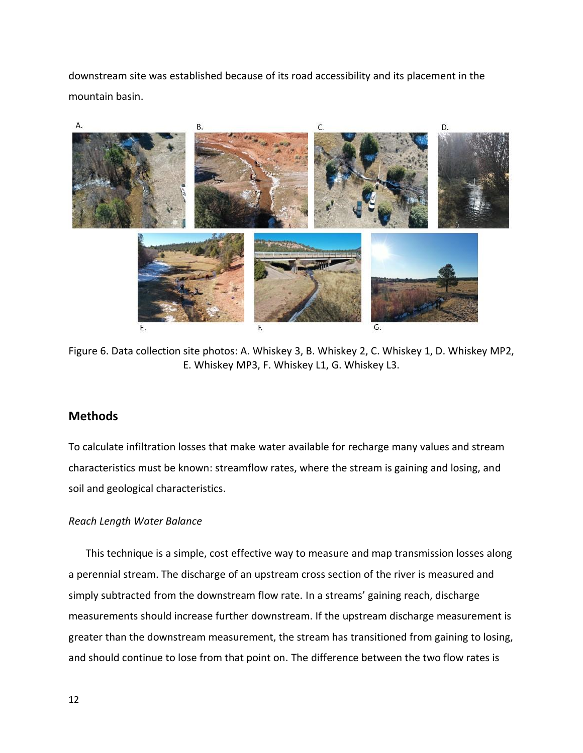downstream site was established because of its road accessibility and its placement in the mountain basin.



Figure 6. Data collection site photos: A. Whiskey 3, B. Whiskey 2, C. Whiskey 1, D. Whiskey MP2, E. Whiskey MP3, F. Whiskey L1, G. Whiskey L3.

## **Methods**

To calculate infiltration losses that make water available for recharge many values and stream characteristics must be known: streamflow rates, where the stream is gaining and losing, and soil and geological characteristics.

#### *Reach Length Water Balance*

This technique is a simple, cost effective way to measure and map transmission losses along a perennial stream. The discharge of an upstream cross section of the river is measured and simply subtracted from the downstream flow rate. In a streams' gaining reach, discharge measurements should increase further downstream. If the upstream discharge measurement is greater than the downstream measurement, the stream has transitioned from gaining to losing, and should continue to lose from that point on. The difference between the two flow rates is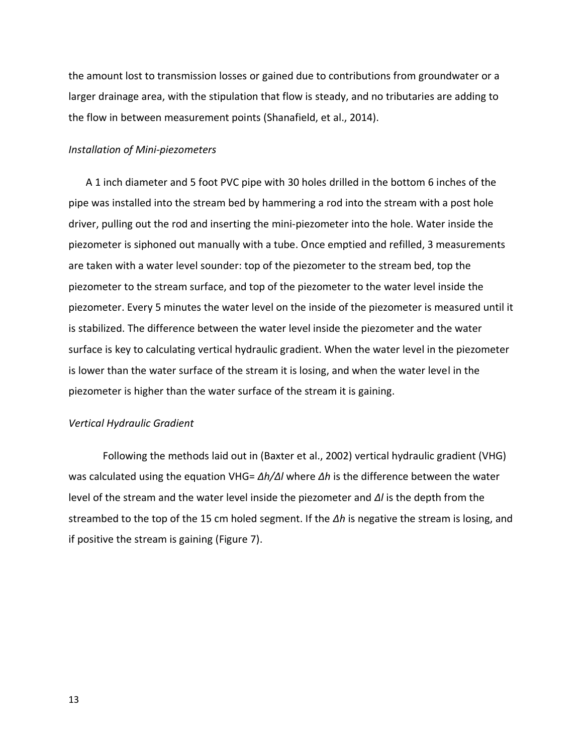the amount lost to transmission losses or gained due to contributions from groundwater or a larger drainage area, with the stipulation that flow is steady, and no tributaries are adding to the flow in between measurement points (Shanafield, et al., 2014).

#### *Installation of Mini-piezometers*

A 1 inch diameter and 5 foot PVC pipe with 30 holes drilled in the bottom 6 inches of the pipe was installed into the stream bed by hammering a rod into the stream with a post hole driver, pulling out the rod and inserting the mini-piezometer into the hole. Water inside the piezometer is siphoned out manually with a tube. Once emptied and refilled, 3 measurements are taken with a water level sounder: top of the piezometer to the stream bed, top the piezometer to the stream surface, and top of the piezometer to the water level inside the piezometer. Every 5 minutes the water level on the inside of the piezometer is measured until it is stabilized. The difference between the water level inside the piezometer and the water surface is key to calculating vertical hydraulic gradient. When the water level in the piezometer is lower than the water surface of the stream it is losing, and when the water level in the piezometer is higher than the water surface of the stream it is gaining.

#### *Vertical Hydraulic Gradient*

Following the methods laid out in (Baxter et al., 2002) vertical hydraulic gradient (VHG) was calculated using the equation VHG= *Δh/Δl* where *Δh* is the difference between the water level of the stream and the water level inside the piezometer and *Δl* is the depth from the streambed to the top of the 15 cm holed segment. If the *Δh* is negative the stream is losing, and if positive the stream is gaining (Figure 7).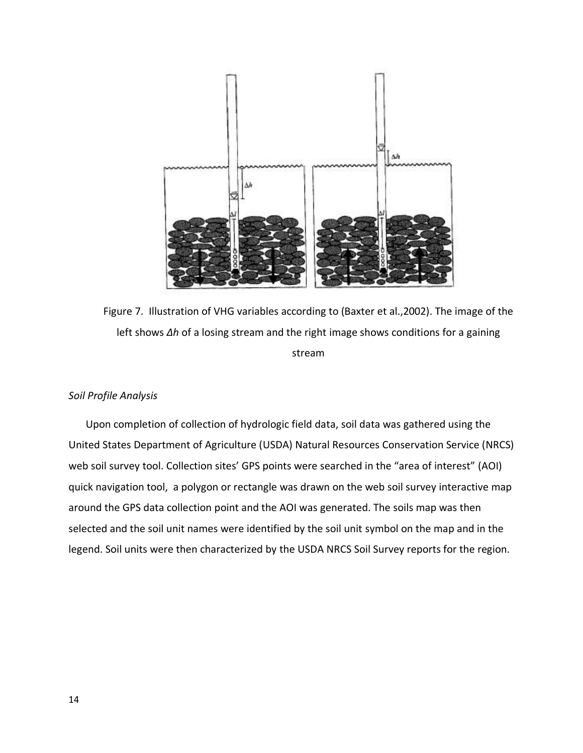

Figure 7. Illustration of VHG variables according to (Baxter et al.,2002). The image of the left shows *Δh* of a losing stream and the right image shows conditions for a gaining stream

#### *Soil Profile Analysis*

Upon completion of collection of hydrologic field data, soil data was gathered using the United States Department of Agriculture (USDA) Natural Resources Conservation Service (NRCS) web soil survey tool. Collection sites' GPS points were searched in the "area of interest" (AOI) quick navigation tool, a polygon or rectangle was drawn on the web soil survey interactive map around the GPS data collection point and the AOI was generated. The soils map was then selected and the soil unit names were identified by the soil unit symbol on the map and in the legend. Soil units were then characterized by the USDA NRCS Soil Survey reports for the region.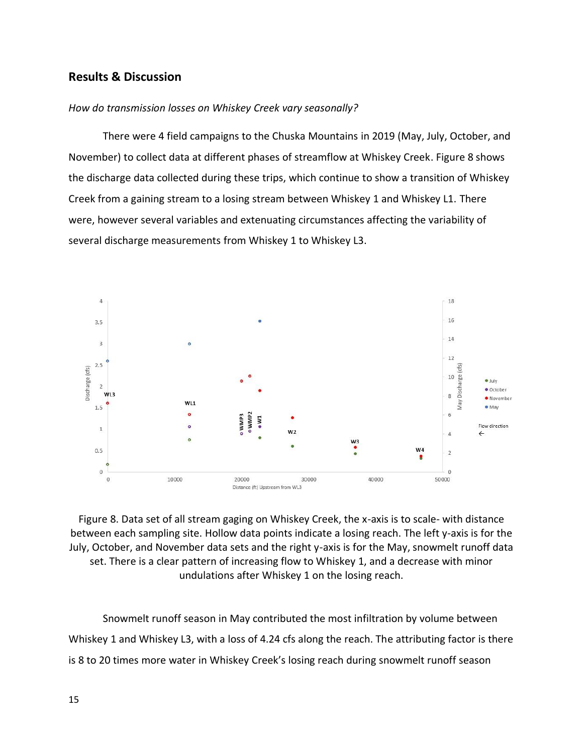# **Results & Discussion**

#### *How do transmission losses on Whiskey Creek vary seasonally?*

There were 4 field campaigns to the Chuska Mountains in 2019 (May, July, October, and November) to collect data at different phases of streamflow at Whiskey Creek. Figure 8 shows the discharge data collected during these trips, which continue to show a transition of Whiskey Creek from a gaining stream to a losing stream between Whiskey 1 and Whiskey L1. There were, however several variables and extenuating circumstances affecting the variability of several discharge measurements from Whiskey 1 to Whiskey L3.



Figure 8. Data set of all stream gaging on Whiskey Creek, the x-axis is to scale- with distance between each sampling site. Hollow data points indicate a losing reach. The left y-axis is for the July, October, and November data sets and the right y-axis is for the May, snowmelt runoff data set. There is a clear pattern of increasing flow to Whiskey 1, and a decrease with minor undulations after Whiskey 1 on the losing reach.

Snowmelt runoff season in May contributed the most infiltration by volume between Whiskey 1 and Whiskey L3, with a loss of 4.24 cfs along the reach. The attributing factor is there is 8 to 20 times more water in Whiskey Creek's losing reach during snowmelt runoff season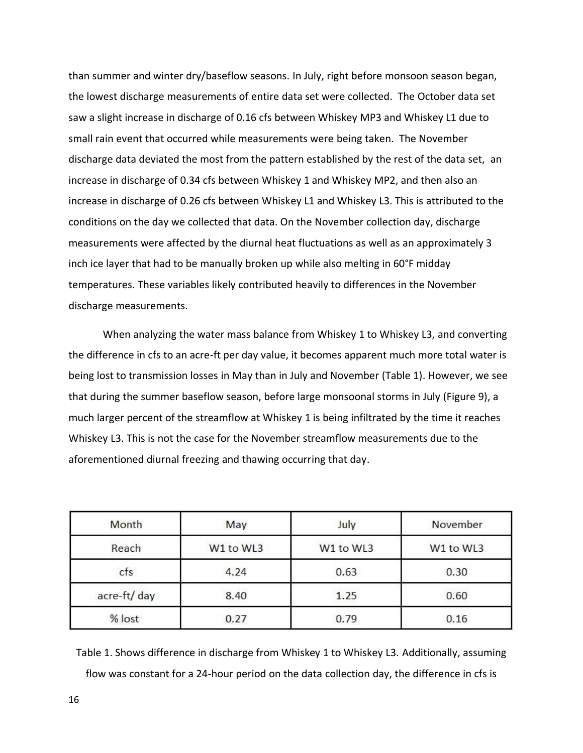than summer and winter dry/baseflow seasons. In July, right before monsoon season began, the lowest discharge measurements of entire data set were collected. The October data set saw a slight increase in discharge of 0.16 cfs between Whiskey MP3 and Whiskey L1 due to small rain event that occurred while measurements were being taken. The November discharge data deviated the most from the pattern established by the rest of the data set, an increase in discharge of 0.34 cfs between Whiskey 1 and Whiskey MP2, and then also an increase in discharge of 0.26 cfs between Whiskey L1 and Whiskey L3. This is attributed to the conditions on the day we collected that data. On the November collection day, discharge measurements were affected by the diurnal heat fluctuations as well as an approximately 3 inch ice layer that had to be manually broken up while also melting in 60°F midday temperatures. These variables likely contributed heavily to differences in the November discharge measurements.

When analyzing the water mass balance from Whiskey 1 to Whiskey L3, and converting the difference in cfs to an acre-ft per day value, it becomes apparent much more total water is being lost to transmission losses in May than in July and November (Table 1). However, we see that during the summer baseflow season, before large monsoonal storms in July (Figure 9), a much larger percent of the streamflow at Whiskey 1 is being infiltrated by the time it reaches Whiskey L3. This is not the case for the November streamflow measurements due to the aforementioned diurnal freezing and thawing occurring that day.

| Month       | May       | July      | November<br>W1 to WL3 |  |
|-------------|-----------|-----------|-----------------------|--|
| Reach       | W1 to WL3 | W1 to WL3 |                       |  |
| cfs         | 4.24      | 0.63      | 0.30                  |  |
| acre-ft/day | 8.40      | 1.25      | 0.60                  |  |
| % lost      | 0.27      | 0.79      | 0.16                  |  |

Table 1. Shows difference in discharge from Whiskey 1 to Whiskey L3. Additionally, assuming flow was constant for a 24-hour period on the data collection day, the difference in cfs is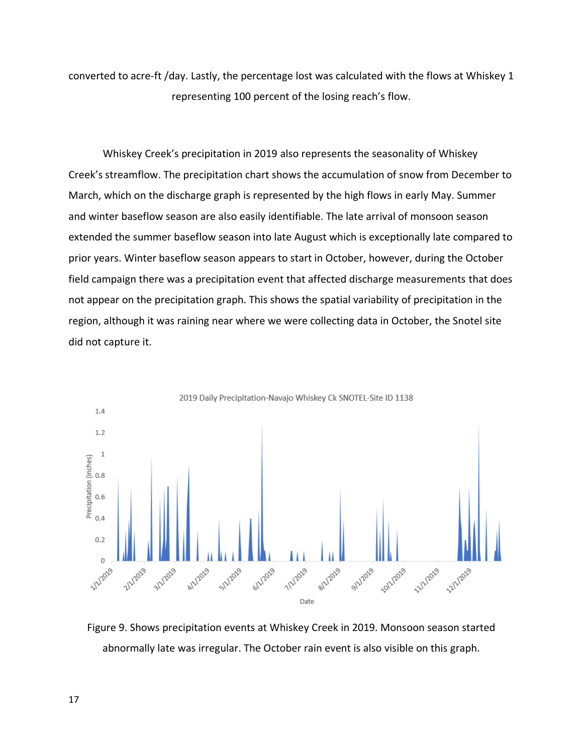converted to acre-ft /day. Lastly, the percentage lost was calculated with the flows at Whiskey 1 representing 100 percent of the losing reach's flow.

Whiskey Creek's precipitation in 2019 also represents the seasonality of Whiskey Creek's streamflow. The precipitation chart shows the accumulation of snow from December to March, which on the discharge graph is represented by the high flows in early May. Summer and winter baseflow season are also easily identifiable. The late arrival of monsoon season extended the summer baseflow season into late August which is exceptionally late compared to prior years. Winter baseflow season appears to start in October, however, during the October field campaign there was a precipitation event that affected discharge measurements that does not appear on the precipitation graph. This shows the spatial variability of precipitation in the region, although it was raining near where we were collecting data in October, the Snotel site did not capture it.



Figure 9. Shows precipitation events at Whiskey Creek in 2019. Monsoon season started abnormally late was irregular. The October rain event is also visible on this graph.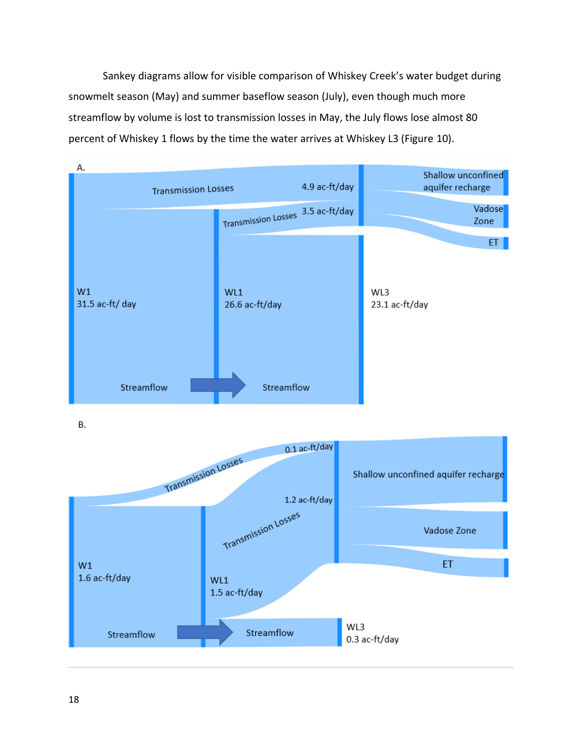Sankey diagrams allow for visible comparison of Whiskey Creek's water budget during snowmelt season (May) and summer baseflow season (July), even though much more streamflow by volume is lost to transmission losses in May, the July flows lose almost 80 percent of Whiskey 1 flows by the time the water arrives at Whiskey L3 (Figure 10).

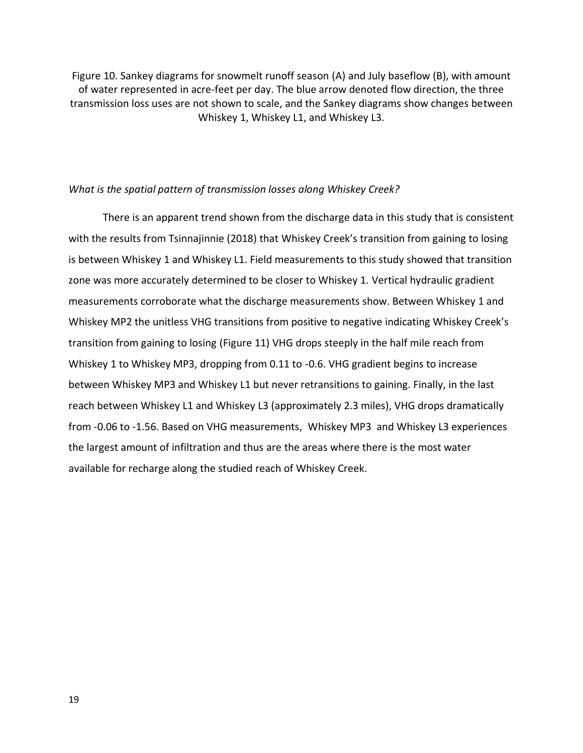Figure 10. Sankey diagrams for snowmelt runoff season (A) and July baseflow (B), with amount of water represented in acre-feet per day. The blue arrow denoted flow direction, the three transmission loss uses are not shown to scale, and the Sankey diagrams show changes between Whiskey 1, Whiskey L1, and Whiskey L3.

#### *What is the spatial pattern of transmission losses along Whiskey Creek?*

There is an apparent trend shown from the discharge data in this study that is consistent with the results from Tsinnajinnie (2018) that Whiskey Creek's transition from gaining to losing is between Whiskey 1 and Whiskey L1. Field measurements to this study showed that transition zone was more accurately determined to be closer to Whiskey 1. Vertical hydraulic gradient measurements corroborate what the discharge measurements show. Between Whiskey 1 and Whiskey MP2 the unitless VHG transitions from positive to negative indicating Whiskey Creek's transition from gaining to losing (Figure 11) VHG drops steeply in the half mile reach from Whiskey 1 to Whiskey MP3, dropping from 0.11 to -0.6. VHG gradient begins to increase between Whiskey MP3 and Whiskey L1 but never retransitions to gaining. Finally, in the last reach between Whiskey L1 and Whiskey L3 (approximately 2.3 miles), VHG drops dramatically from -0.06 to -1.56. Based on VHG measurements, Whiskey MP3 and Whiskey L3 experiences the largest amount of infiltration and thus are the areas where there is the most water available for recharge along the studied reach of Whiskey Creek.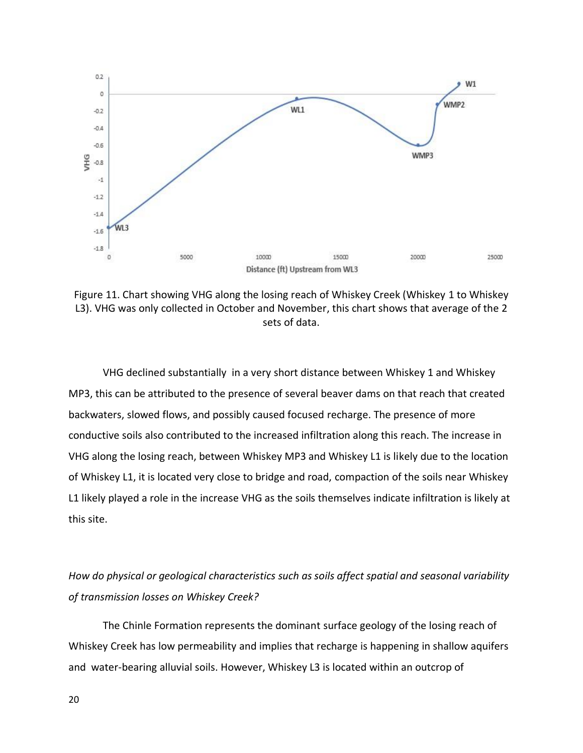

Figure 11. Chart showing VHG along the losing reach of Whiskey Creek (Whiskey 1 to Whiskey L3). VHG was only collected in October and November, this chart shows that average of the 2 sets of data.

VHG declined substantially in a very short distance between Whiskey 1 and Whiskey MP3, this can be attributed to the presence of several beaver dams on that reach that created backwaters, slowed flows, and possibly caused focused recharge. The presence of more conductive soils also contributed to the increased infiltration along this reach. The increase in VHG along the losing reach, between Whiskey MP3 and Whiskey L1 is likely due to the location of Whiskey L1, it is located very close to bridge and road, compaction of the soils near Whiskey L1 likely played a role in the increase VHG as the soils themselves indicate infiltration is likely at this site.

*How do physical or geological characteristics such as soils affect spatial and seasonal variability of transmission losses on Whiskey Creek?*

The Chinle Formation represents the dominant surface geology of the losing reach of Whiskey Creek has low permeability and implies that recharge is happening in shallow aquifers and water-bearing alluvial soils. However, Whiskey L3 is located within an outcrop of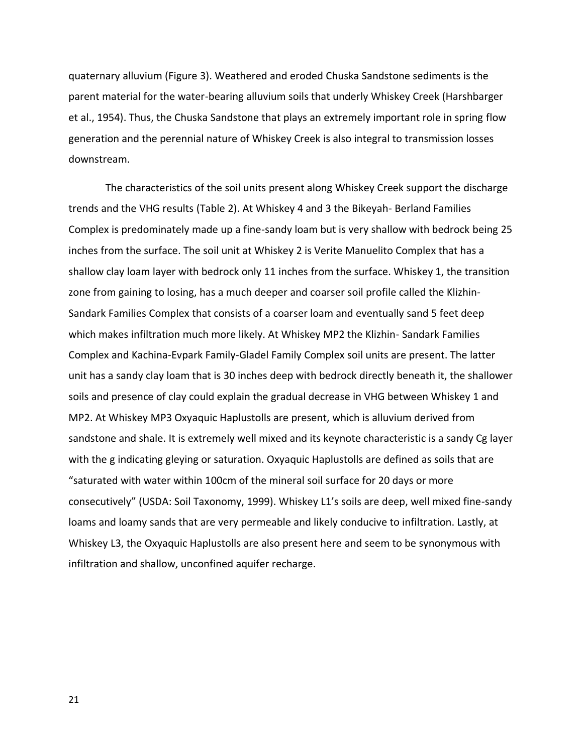quaternary alluvium (Figure 3). Weathered and eroded Chuska Sandstone sediments is the parent material for the water-bearing alluvium soils that underly Whiskey Creek (Harshbarger et al., 1954). Thus, the Chuska Sandstone that plays an extremely important role in spring flow generation and the perennial nature of Whiskey Creek is also integral to transmission losses downstream.

The characteristics of the soil units present along Whiskey Creek support the discharge trends and the VHG results (Table 2). At Whiskey 4 and 3 the Bikeyah- Berland Families Complex is predominately made up a fine-sandy loam but is very shallow with bedrock being 25 inches from the surface. The soil unit at Whiskey 2 is Verite Manuelito Complex that has a shallow clay loam layer with bedrock only 11 inches from the surface. Whiskey 1, the transition zone from gaining to losing, has a much deeper and coarser soil profile called the Klizhin-Sandark Families Complex that consists of a coarser loam and eventually sand 5 feet deep which makes infiltration much more likely. At Whiskey MP2 the Klizhin- Sandark Families Complex and Kachina-Evpark Family-Gladel Family Complex soil units are present. The latter unit has a sandy clay loam that is 30 inches deep with bedrock directly beneath it, the shallower soils and presence of clay could explain the gradual decrease in VHG between Whiskey 1 and MP2. At Whiskey MP3 Oxyaquic Haplustolls are present, which is alluvium derived from sandstone and shale. It is extremely well mixed and its keynote characteristic is a sandy Cg layer with the g indicating gleying or saturation. Oxyaquic Haplustolls are defined as soils that are "saturated with water within 100cm of the mineral soil surface for 20 days or more consecutively" (USDA: Soil Taxonomy, 1999). Whiskey L1's soils are deep, well mixed fine-sandy loams and loamy sands that are very permeable and likely conducive to infiltration. Lastly, at Whiskey L3, the Oxyaquic Haplustolls are also present here and seem to be synonymous with infiltration and shallow, unconfined aquifer recharge.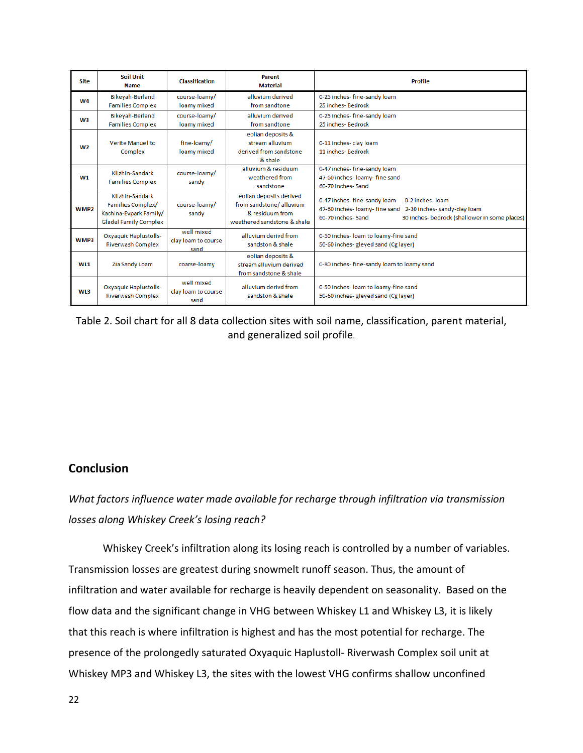| <b>Site</b>      | <b>Soil Unit</b><br><b>Name</b>                                                                | <b>Classification</b>                     | Parent<br><b>Material</b>                                                                            | <b>Profile</b>                                                                                                                                                                          |
|------------------|------------------------------------------------------------------------------------------------|-------------------------------------------|------------------------------------------------------------------------------------------------------|-----------------------------------------------------------------------------------------------------------------------------------------------------------------------------------------|
| W4               | <b>Bikeyah-Berland</b><br><b>Families Complex</b>                                              | course-loamy/<br>loamy mixed              | alluvium derived<br>from sandtone                                                                    | 0-25 inches- fine-sandy loam<br>25 inches- Bedrock                                                                                                                                      |
| W3               | <b>Bikeyah-Berland</b><br><b>Families Complex</b>                                              | course-loamy/<br>loamy mixed              | alluvium derived<br>from sandtone                                                                    | 0-25 inches- fine-sandy loam<br>25 inches- Bedrock                                                                                                                                      |
| W <sub>2</sub>   | Verite Manuelito<br>Complex                                                                    | fine-loamy/<br>loamy mixed                | eolian deposits &<br>stream alluvium<br>derived from sandstone<br>& shale                            | 0-11 inches- clay loam<br>11 inches- Bedrock                                                                                                                                            |
| W1               | Klizhin-Sandark<br><b>Families Complex</b>                                                     | course-loamy/<br>sandy                    | alluvium & residuum<br>weathered from<br>sandstone                                                   | 0-47 inches- fine-sandy loam<br>47-60 inches- loamy- fine sand<br>60-70 inches-Sand                                                                                                     |
| WMP <sub>2</sub> | Klizhin-Sandark<br>Families Complex/<br>Kachina-Evpark Family/<br><b>Gladel Family Complex</b> | course-loamy/<br>sandy                    | eolian deposits derived<br>from sandstone/alluvium<br>& residuum from<br>weathered sandstone & shale | 0-47 inches- fine-sandy loam<br>0-2 inches-loam<br>47-60 inches- loamy- fine sand<br>2-30 inches- sandy-clay loam<br>60-70 inches-Sand<br>30 inches- bedrock (shallower in some places) |
| WMP3             | <b>Oxyaquic Haplustolls-</b><br><b>Riverwash Complex</b>                                       | well mixed<br>clay loam to course<br>sand | alluvium derivd from<br>sandston & shale                                                             | 0-50 inches- loam to loamy-fine sand<br>50-60 inches- gleyed sand (Cg layer)                                                                                                            |
| WL1              | Zia Sandy Loam                                                                                 | coarse-loamy                              | eolian deposits &<br>stream alluvium derived<br>from sandstone & shale                               | 0-80 inches- fine-sandy loam to loamy sand                                                                                                                                              |
| WL3              | <b>Oxyaquic Haplustolls-</b><br><b>Riverwash Complex</b>                                       | well mixed<br>clay loam to course<br>sand | alluvium derivd from<br>sandston & shale                                                             | 0-50 inches- loam to loamy-fine sand<br>50-60 inches- gleyed sand (Cg layer)                                                                                                            |

Table 2. Soil chart for all 8 data collection sites with soil name, classification, parent material, and generalized soil profile.

# **Conclusion**

*What factors influence water made available for recharge through infiltration via transmission losses along Whiskey Creek's losing reach?*

Whiskey Creek's infiltration along its losing reach is controlled by a number of variables. Transmission losses are greatest during snowmelt runoff season. Thus, the amount of infiltration and water available for recharge is heavily dependent on seasonality. Based on the flow data and the significant change in VHG between Whiskey L1 and Whiskey L3, it is likely that this reach is where infiltration is highest and has the most potential for recharge. The presence of the prolongedly saturated Oxyaquic Haplustoll- Riverwash Complex soil unit at Whiskey MP3 and Whiskey L3, the sites with the lowest VHG confirms shallow unconfined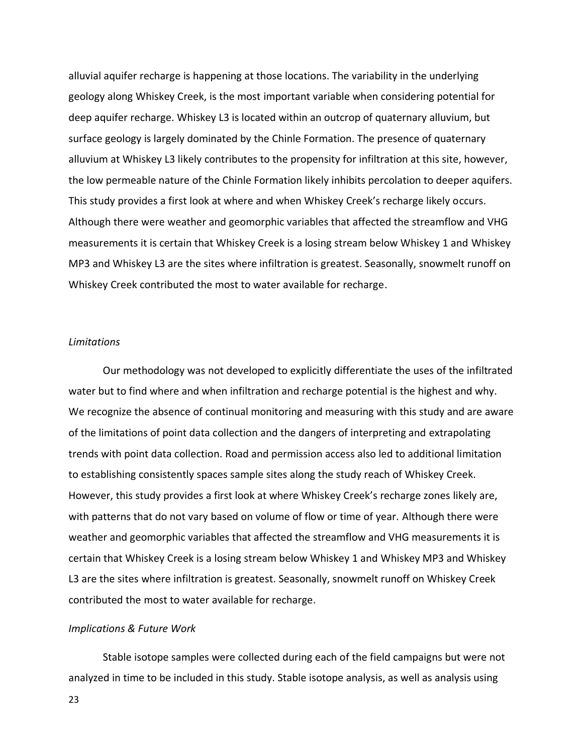alluvial aquifer recharge is happening at those locations. The variability in the underlying geology along Whiskey Creek, is the most important variable when considering potential for deep aquifer recharge. Whiskey L3 is located within an outcrop of quaternary alluvium, but surface geology is largely dominated by the Chinle Formation. The presence of quaternary alluvium at Whiskey L3 likely contributes to the propensity for infiltration at this site, however, the low permeable nature of the Chinle Formation likely inhibits percolation to deeper aquifers. This study provides a first look at where and when Whiskey Creek's recharge likely occurs. Although there were weather and geomorphic variables that affected the streamflow and VHG measurements it is certain that Whiskey Creek is a losing stream below Whiskey 1 and Whiskey MP3 and Whiskey L3 are the sites where infiltration is greatest. Seasonally, snowmelt runoff on Whiskey Creek contributed the most to water available for recharge.

#### *Limitations*

Our methodology was not developed to explicitly differentiate the uses of the infiltrated water but to find where and when infiltration and recharge potential is the highest and why. We recognize the absence of continual monitoring and measuring with this study and are aware of the limitations of point data collection and the dangers of interpreting and extrapolating trends with point data collection. Road and permission access also led to additional limitation to establishing consistently spaces sample sites along the study reach of Whiskey Creek. However, this study provides a first look at where Whiskey Creek's recharge zones likely are, with patterns that do not vary based on volume of flow or time of year. Although there were weather and geomorphic variables that affected the streamflow and VHG measurements it is certain that Whiskey Creek is a losing stream below Whiskey 1 and Whiskey MP3 and Whiskey L3 are the sites where infiltration is greatest. Seasonally, snowmelt runoff on Whiskey Creek contributed the most to water available for recharge.

#### *Implications & Future Work*

Stable isotope samples were collected during each of the field campaigns but were not analyzed in time to be included in this study. Stable isotope analysis, as well as analysis using

23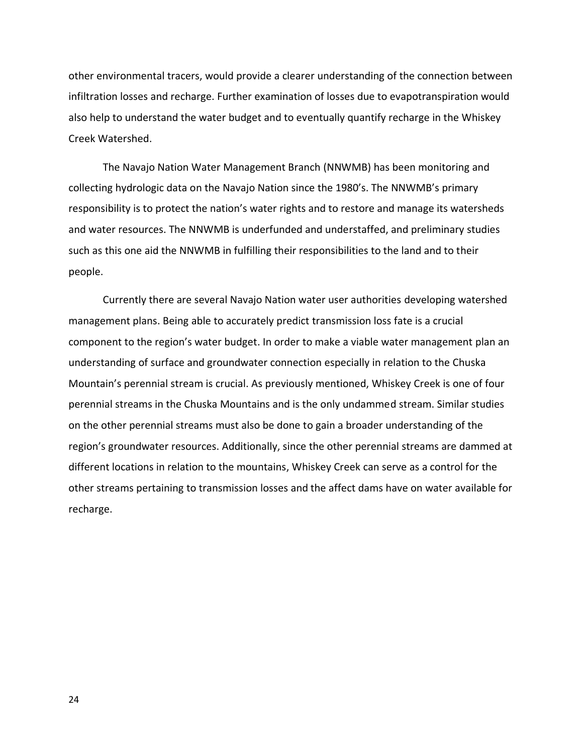other environmental tracers, would provide a clearer understanding of the connection between infiltration losses and recharge. Further examination of losses due to evapotranspiration would also help to understand the water budget and to eventually quantify recharge in the Whiskey Creek Watershed.

The Navajo Nation Water Management Branch (NNWMB) has been monitoring and collecting hydrologic data on the Navajo Nation since the 1980's. The NNWMB's primary responsibility is to protect the nation's water rights and to restore and manage its watersheds and water resources. The NNWMB is underfunded and understaffed, and preliminary studies such as this one aid the NNWMB in fulfilling their responsibilities to the land and to their people.

Currently there are several Navajo Nation water user authorities developing watershed management plans. Being able to accurately predict transmission loss fate is a crucial component to the region's water budget. In order to make a viable water management plan an understanding of surface and groundwater connection especially in relation to the Chuska Mountain's perennial stream is crucial. As previously mentioned, Whiskey Creek is one of four perennial streams in the Chuska Mountains and is the only undammed stream. Similar studies on the other perennial streams must also be done to gain a broader understanding of the region's groundwater resources. Additionally, since the other perennial streams are dammed at different locations in relation to the mountains, Whiskey Creek can serve as a control for the other streams pertaining to transmission losses and the affect dams have on water available for recharge.

24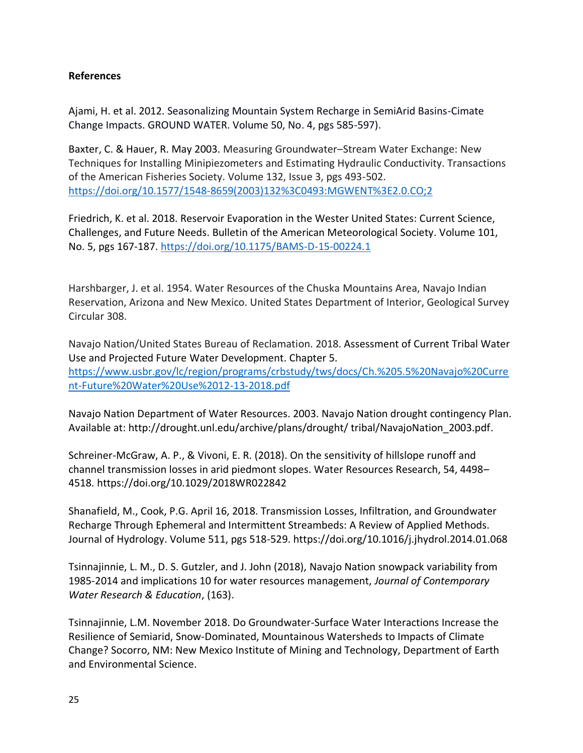## **References**

Ajami, H. et al. 2012. Seasonalizing Mountain System Recharge in SemiArid Basins-Cimate Change Impacts. GROUND WATER. Volume 50, No. 4, pgs 585-597).

Baxter, C. & Hauer, R. May 2003. Measuring Groundwater–Stream Water Exchange: New Techniques for Installing Minipiezometers and Estimating Hydraulic Conductivity. Transactions of the American Fisheries Society. Volume 132, Issue 3, pgs 493-502. [https://doi.org/10.1577/1548-8659\(2003\)132%3C0493:MGWENT%3E2.0.CO;2](https://doi.org/10.1577/1548-8659(2003)132%3C0493:MGWENT%3E2.0.CO;2)

Friedrich, K. et al. 2018. Reservoir Evaporation in the Wester United States: Current Science, Challenges, and Future Needs. Bulletin of the American Meteorological Society. Volume 101, No. 5, pgs 167-187.<https://doi.org/10.1175/BAMS-D-15-00224.1>

Harshbarger, J. et al. 1954. Water Resources of the Chuska Mountains Area, Navajo Indian Reservation, Arizona and New Mexico. United States Department of Interior, Geological Survey Circular 308.

Navajo Nation/United States Bureau of Reclamation. 2018. Assessment of Current Tribal Water Use and Projected Future Water Development. Chapter 5. [https://www.usbr.gov/lc/region/programs/crbstudy/tws/docs/Ch.%205.5%20Navajo%20Curre](https://www.usbr.gov/lc/region/programs/crbstudy/tws/docs/Ch.%205.5%20Navajo%20Current-Future%20Water%20Use%2012-13-2018.pdf) [nt-Future%20Water%20Use%2012-13-2018.pdf](https://www.usbr.gov/lc/region/programs/crbstudy/tws/docs/Ch.%205.5%20Navajo%20Current-Future%20Water%20Use%2012-13-2018.pdf)

Navajo Nation Department of Water Resources. 2003. Navajo Nation drought contingency Plan. Available at: http://drought.unl.edu/archive/plans/drought/ tribal/NavajoNation\_2003.pdf.

Schreiner-McGraw, A. P., & Vivoni, E. R. (2018). On the sensitivity of hillslope runoff and channel transmission losses in arid piedmont slopes. Water Resources Research, 54, 4498– 4518. https://doi.org/10.1029/2018WR022842

Shanafield, M., Cook, P.G. April 16, 2018. Transmission Losses, Infiltration, and Groundwater Recharge Through Ephemeral and Intermittent Streambeds: A Review of Applied Methods. Journal of Hydrology. Volume 511, pgs 518-529. https://doi.org/10.1016/j.jhydrol.2014.01.068

Tsinnajinnie, L. M., D. S. Gutzler, and J. John (2018), Navajo Nation snowpack variability from 1985-2014 and implications 10 for water resources management, *Journal of Contemporary Water Research & Education*, (163).

Tsinnajinnie, L.M. November 2018. Do Groundwater-Surface Water Interactions Increase the Resilience of Semiarid, Snow-Dominated, Mountainous Watersheds to Impacts of Climate Change? Socorro, NM: New Mexico Institute of Mining and Technology, Department of Earth and Environmental Science.